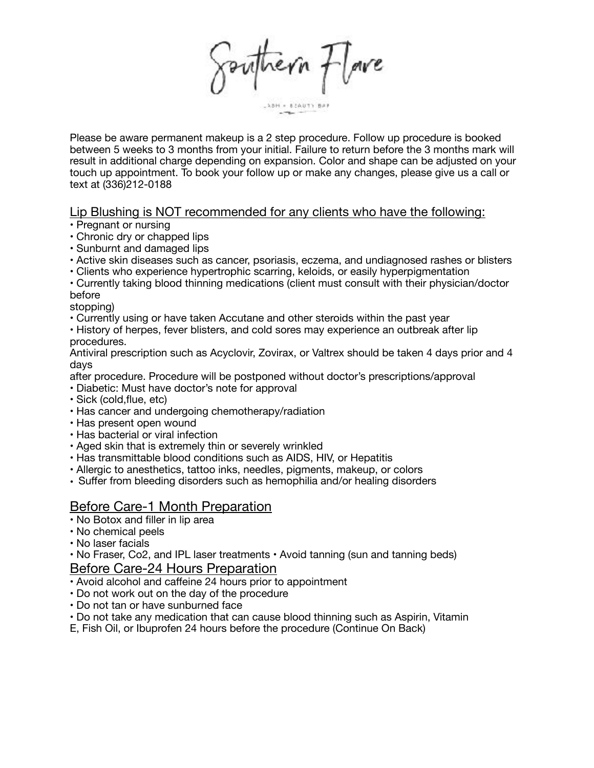Southern Flore

LABH - BEAUTY BAR

Please be aware permanent makeup is a 2 step procedure. Follow up procedure is booked between 5 weeks to 3 months from your initial. Failure to return before the 3 months mark will result in additional charge depending on expansion. Color and shape can be adjusted on your touch up appointment. To book your follow up or make any changes, please give us a call or text at (336)212-0188

## Lip Blushing is NOT recommended for any clients who have the following:

• Pregnant or nursing

- Chronic dry or chapped lips
- Sunburnt and damaged lips
- Active skin diseases such as cancer, psoriasis, eczema, and undiagnosed rashes or blisters
- Clients who experience hypertrophic scarring, keloids, or easily hyperpigmentation

## • Currently taking blood thinning medications (client must consult with their physician/doctor before

stopping)

- Currently using or have taken Accutane and other steroids within the past year
- History of herpes, fever blisters, and cold sores may experience an outbreak after lip procedures.

Antiviral prescription such as Acyclovir, Zovirax, or Valtrex should be taken 4 days prior and 4 days

after procedure. Procedure will be postponed without doctor's prescriptions/approval

- Diabetic: Must have doctor's note for approval
- Sick (cold,flue, etc)
- Has cancer and undergoing chemotherapy/radiation
- Has present open wound
- Has bacterial or viral infection
- Aged skin that is extremely thin or severely wrinkled
- Has transmittable blood conditions such as AIDS, HIV, or Hepatitis
- Allergic to anesthetics, tattoo inks, needles, pigments, makeup, or colors
- Suffer from bleeding disorders such as hemophilia and/or healing disorders

## Before Care-1 Month Preparation

- No Botox and filler in lip area
- No chemical peels
- No laser facials

• No Fraser, Co2, and IPL laser treatments • Avoid tanning (sun and tanning beds) Before Care-24 Hours Preparation

- Avoid alcohol and caffeine 24 hours prior to appointment
- Do not work out on the day of the procedure
- Do not tan or have sunburned face
- Do not take any medication that can cause blood thinning such as Aspirin, Vitamin
- E, Fish Oil, or Ibuprofen 24 hours before the procedure (Continue On Back)